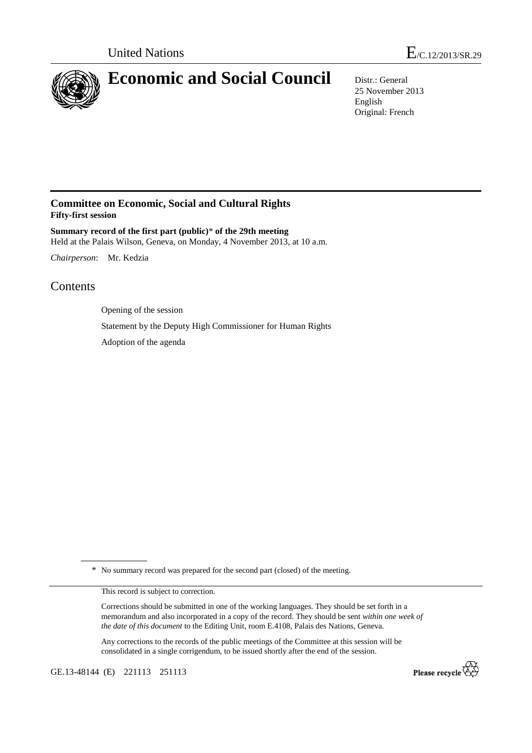

# **Economic and Social Council** Distr.: General

25 November 2013 English Original: French

## **Committee on Economic, Social and Cultural Rights Fifty-first session**

**Summary record of the first part (public)**\* **of the 29th meeting**  Held at the Palais Wilson, Geneva, on Monday, 4 November 2013, at 10 a.m.

*Chairperson*: Mr. Kedzia

## Contents

Opening of the session

Statement by the Deputy High Commissioner for Human Rights

Adoption of the agenda

\* No summary record was prepared for the second part (closed) of the meeting.

This record is subject to correction.

Corrections should be submitted in one of the working languages. They should be set forth in a memorandum and also incorporated in a copy of the record. They should be sent *within one week of the date of this document* to the Editing Unit, room E.4108, Palais des Nations, Geneva.

Any corrections to the records of the public meetings of the Committee at this session will be consolidated in a single corrigendum, to be issued shortly after the end of the session.

GE.13-48144 (E) 221113 251113

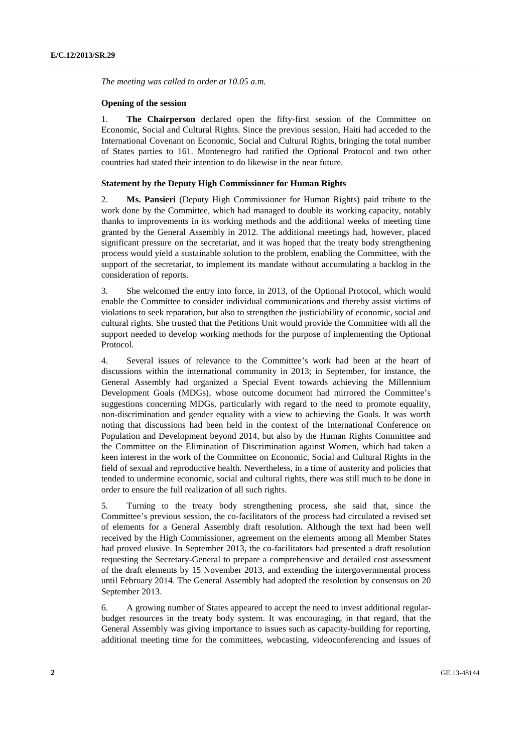*The meeting was called to order at 10.05 a.m.* 

#### **Opening of the session**

1. **The Chairperson** declared open the fifty-first session of the Committee on Economic, Social and Cultural Rights. Since the previous session, Haiti had acceded to the International Covenant on Economic, Social and Cultural Rights, bringing the total number of States parties to 161. Montenegro had ratified the Optional Protocol and two other countries had stated their intention to do likewise in the near future.

### **Statement by the Deputy High Commissioner for Human Rights**

2. **Ms. Pansieri** (Deputy High Commissioner for Human Rights) paid tribute to the work done by the Committee, which had managed to double its working capacity, notably thanks to improvements in its working methods and the additional weeks of meeting time granted by the General Assembly in 2012. The additional meetings had, however, placed significant pressure on the secretariat, and it was hoped that the treaty body strengthening process would yield a sustainable solution to the problem, enabling the Committee, with the support of the secretariat, to implement its mandate without accumulating a backlog in the consideration of reports.

3. She welcomed the entry into force, in 2013, of the Optional Protocol, which would enable the Committee to consider individual communications and thereby assist victims of violations to seek reparation, but also to strengthen the justiciability of economic, social and cultural rights. She trusted that the Petitions Unit would provide the Committee with all the support needed to develop working methods for the purpose of implementing the Optional Protocol.

4. Several issues of relevance to the Committee's work had been at the heart of discussions within the international community in 2013; in September, for instance, the General Assembly had organized a Special Event towards achieving the Millennium Development Goals (MDGs), whose outcome document had mirrored the Committee's suggestions concerning MDGs, particularly with regard to the need to promote equality, non-discrimination and gender equality with a view to achieving the Goals. It was worth noting that discussions had been held in the context of the International Conference on Population and Development beyond 2014, but also by the Human Rights Committee and the Committee on the Elimination of Discrimination against Women, which had taken a keen interest in the work of the Committee on Economic, Social and Cultural Rights in the field of sexual and reproductive health. Nevertheless, in a time of austerity and policies that tended to undermine economic, social and cultural rights, there was still much to be done in order to ensure the full realization of all such rights.

5. Turning to the treaty body strengthening process, she said that, since the Committee's previous session, the co-facilitators of the process had circulated a revised set of elements for a General Assembly draft resolution. Although the text had been well received by the High Commissioner, agreement on the elements among all Member States had proved elusive. In September 2013, the co-facilitators had presented a draft resolution requesting the Secretary-General to prepare a comprehensive and detailed cost assessment of the draft elements by 15 November 2013, and extending the intergovernmental process until February 2014. The General Assembly had adopted the resolution by consensus on 20 September 2013.

6. A growing number of States appeared to accept the need to invest additional regularbudget resources in the treaty body system. It was encouraging, in that regard, that the General Assembly was giving importance to issues such as capacity-building for reporting, additional meeting time for the committees, webcasting, videoconferencing and issues of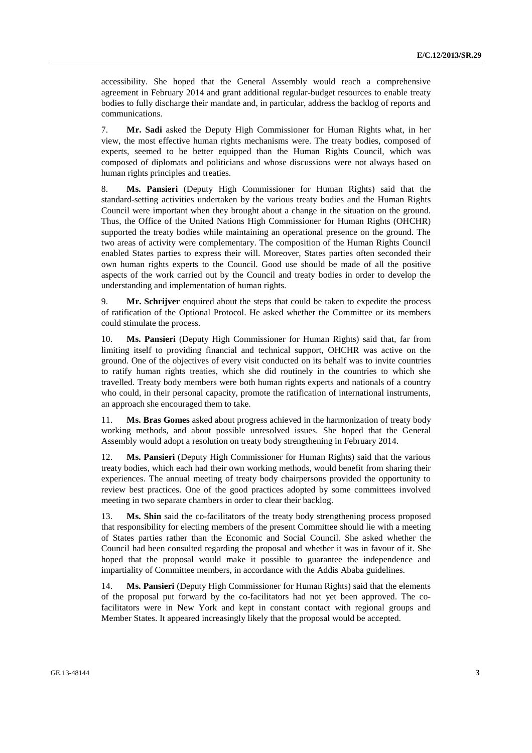accessibility. She hoped that the General Assembly would reach a comprehensive agreement in February 2014 and grant additional regular-budget resources to enable treaty bodies to fully discharge their mandate and, in particular, address the backlog of reports and communications.

7. **Mr. Sadi** asked the Deputy High Commissioner for Human Rights what, in her view, the most effective human rights mechanisms were. The treaty bodies, composed of experts, seemed to be better equipped than the Human Rights Council, which was composed of diplomats and politicians and whose discussions were not always based on human rights principles and treaties.

8. **Ms. Pansieri** (Deputy High Commissioner for Human Rights) said that the standard-setting activities undertaken by the various treaty bodies and the Human Rights Council were important when they brought about a change in the situation on the ground. Thus, the Office of the United Nations High Commissioner for Human Rights (OHCHR) supported the treaty bodies while maintaining an operational presence on the ground. The two areas of activity were complementary. The composition of the Human Rights Council enabled States parties to express their will. Moreover, States parties often seconded their own human rights experts to the Council. Good use should be made of all the positive aspects of the work carried out by the Council and treaty bodies in order to develop the understanding and implementation of human rights.

9. **Mr. Schrijver** enquired about the steps that could be taken to expedite the process of ratification of the Optional Protocol. He asked whether the Committee or its members could stimulate the process.

10. **Ms. Pansieri** (Deputy High Commissioner for Human Rights) said that, far from limiting itself to providing financial and technical support, OHCHR was active on the ground. One of the objectives of every visit conducted on its behalf was to invite countries to ratify human rights treaties, which she did routinely in the countries to which she travelled. Treaty body members were both human rights experts and nationals of a country who could, in their personal capacity, promote the ratification of international instruments, an approach she encouraged them to take.

11. **Ms. Bras Gomes** asked about progress achieved in the harmonization of treaty body working methods, and about possible unresolved issues. She hoped that the General Assembly would adopt a resolution on treaty body strengthening in February 2014.

12. **Ms. Pansieri** (Deputy High Commissioner for Human Rights) said that the various treaty bodies, which each had their own working methods, would benefit from sharing their experiences. The annual meeting of treaty body chairpersons provided the opportunity to review best practices. One of the good practices adopted by some committees involved meeting in two separate chambers in order to clear their backlog.

13. **Ms. Shin** said the co-facilitators of the treaty body strengthening process proposed that responsibility for electing members of the present Committee should lie with a meeting of States parties rather than the Economic and Social Council. She asked whether the Council had been consulted regarding the proposal and whether it was in favour of it. She hoped that the proposal would make it possible to guarantee the independence and impartiality of Committee members, in accordance with the Addis Ababa guidelines.

14. **Ms. Pansieri** (Deputy High Commissioner for Human Rights) said that the elements of the proposal put forward by the co-facilitators had not yet been approved. The cofacilitators were in New York and kept in constant contact with regional groups and Member States. It appeared increasingly likely that the proposal would be accepted.